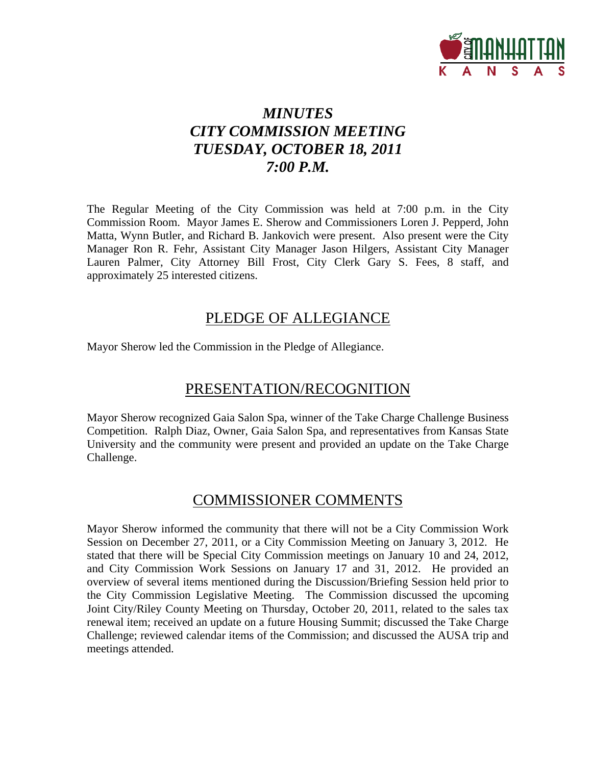

## *MINUTES CITY COMMISSION MEETING TUESDAY, OCTOBER 18, 2011 7:00 P.M.*

The Regular Meeting of the City Commission was held at 7:00 p.m. in the City Commission Room. Mayor James E. Sherow and Commissioners Loren J. Pepperd, John Matta, Wynn Butler, and Richard B. Jankovich were present. Also present were the City Manager Ron R. Fehr, Assistant City Manager Jason Hilgers, Assistant City Manager Lauren Palmer, City Attorney Bill Frost, City Clerk Gary S. Fees, 8 staff, and approximately 25 interested citizens.

## PLEDGE OF ALLEGIANCE

Mayor Sherow led the Commission in the Pledge of Allegiance.

## PRESENTATION/RECOGNITION

Mayor Sherow recognized Gaia Salon Spa, winner of the Take Charge Challenge Business Competition. Ralph Diaz, Owner, Gaia Salon Spa, and representatives from Kansas State University and the community were present and provided an update on the Take Charge Challenge.

## COMMISSIONER COMMENTS

Mayor Sherow informed the community that there will not be a City Commission Work Session on December 27, 2011, or a City Commission Meeting on January 3, 2012. He stated that there will be Special City Commission meetings on January 10 and 24, 2012, and City Commission Work Sessions on January 17 and 31, 2012. He provided an overview of several items mentioned during the Discussion/Briefing Session held prior to the City Commission Legislative Meeting. The Commission discussed the upcoming Joint City/Riley County Meeting on Thursday, October 20, 2011, related to the sales tax renewal item; received an update on a future Housing Summit; discussed the Take Charge Challenge; reviewed calendar items of the Commission; and discussed the AUSA trip and meetings attended.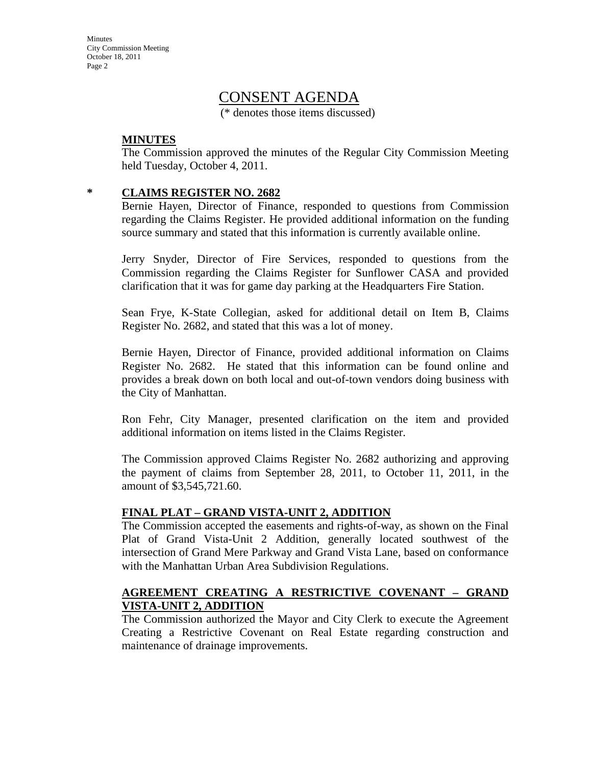## CONSENT AGENDA

(\* denotes those items discussed)

#### **MINUTES**

 The Commission approved the minutes of the Regular City Commission Meeting held Tuesday, October 4, 2011.

#### **\* CLAIMS REGISTER NO. 2682**

Bernie Hayen, Director of Finance, responded to questions from Commission regarding the Claims Register. He provided additional information on the funding source summary and stated that this information is currently available online.

Jerry Snyder, Director of Fire Services, responded to questions from the Commission regarding the Claims Register for Sunflower CASA and provided clarification that it was for game day parking at the Headquarters Fire Station.

Sean Frye, K-State Collegian, asked for additional detail on Item B, Claims Register No. 2682, and stated that this was a lot of money.

Bernie Hayen, Director of Finance, provided additional information on Claims Register No. 2682. He stated that this information can be found online and provides a break down on both local and out-of-town vendors doing business with the City of Manhattan.

Ron Fehr, City Manager, presented clarification on the item and provided additional information on items listed in the Claims Register.

The Commission approved Claims Register No. 2682 authorizing and approving the payment of claims from September 28, 2011, to October 11, 2011, in the amount of \$3,545,721.60.

#### **FINAL PLAT – GRAND VISTA-UNIT 2, ADDITION**

The Commission accepted the easements and rights-of-way, as shown on the Final Plat of Grand Vista-Unit 2 Addition, generally located southwest of the intersection of Grand Mere Parkway and Grand Vista Lane, based on conformance with the Manhattan Urban Area Subdivision Regulations.

#### **AGREEMENT CREATING A RESTRICTIVE COVENANT – GRAND VISTA-UNIT 2, ADDITION**

The Commission authorized the Mayor and City Clerk to execute the Agreement Creating a Restrictive Covenant on Real Estate regarding construction and maintenance of drainage improvements.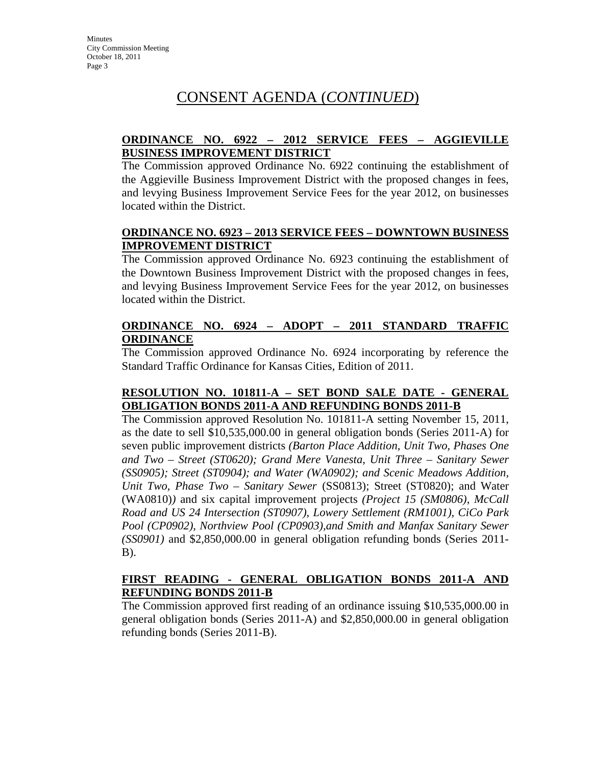#### **ORDINANCE NO. 6922 – 2012 SERVICE FEES – AGGIEVILLE BUSINESS IMPROVEMENT DISTRICT**

The Commission approved Ordinance No. 6922 continuing the establishment of the Aggieville Business Improvement District with the proposed changes in fees, and levying Business Improvement Service Fees for the year 2012, on businesses located within the District.

#### **ORDINANCE NO. 6923 – 2013 SERVICE FEES – DOWNTOWN BUSINESS IMPROVEMENT DISTRICT**

The Commission approved Ordinance No. 6923 continuing the establishment of the Downtown Business Improvement District with the proposed changes in fees, and levying Business Improvement Service Fees for the year 2012, on businesses located within the District.

#### **ORDINANCE NO. 6924 – ADOPT – 2011 STANDARD TRAFFIC ORDINANCE**

The Commission approved Ordinance No. 6924 incorporating by reference the Standard Traffic Ordinance for Kansas Cities, Edition of 2011.

#### **RESOLUTION NO. 101811-A – SET BOND SALE DATE - GENERAL OBLIGATION BONDS 2011-A AND REFUNDING BONDS 2011-B**

The Commission approved Resolution No. 101811-A setting November 15, 2011, as the date to sell \$10,535,000.00 in general obligation bonds (Series 2011-A) for seven public improvement districts *(Barton Place Addition, Unit Two, Phases One and Two – Street (ST0620); Grand Mere Vanesta, Unit Three – Sanitary Sewer (SS0905); Street (ST0904); and Water (WA0902); and Scenic Meadows Addition, Unit Two, Phase Two – Sanitary Sewer* (SS0813); Street (ST0820); and Water (WA0810)*)* and six capital improvement projects *(Project 15 (SM0806), McCall Road and US 24 Intersection (ST0907), Lowery Settlement (RM1001), CiCo Park Pool (CP0902), Northview Pool (CP0903),and Smith and Manfax Sanitary Sewer (SS0901)* and \$2,850,000.00 in general obligation refunding bonds (Series 2011- B).

#### **FIRST READING - GENERAL OBLIGATION BONDS 2011-A AND REFUNDING BONDS 2011-B**

The Commission approved first reading of an ordinance issuing \$10,535,000.00 in general obligation bonds (Series 2011-A) and \$2,850,000.00 in general obligation refunding bonds (Series 2011-B).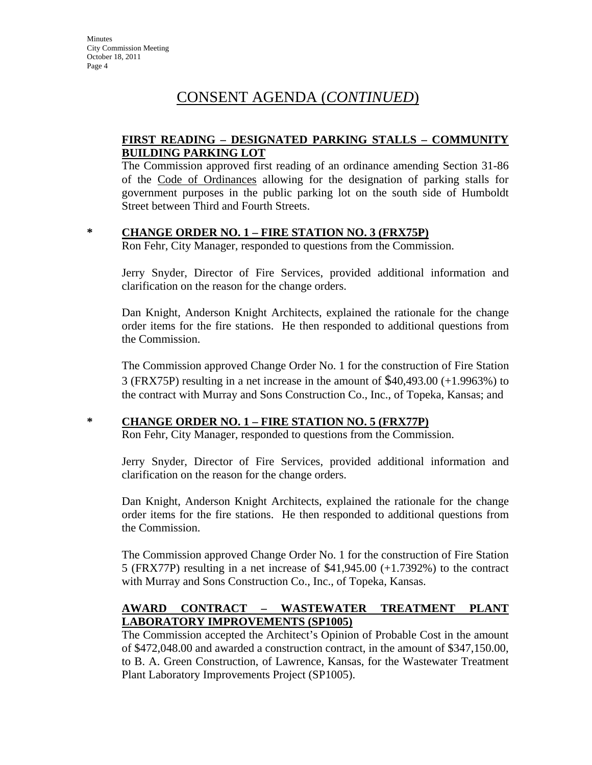#### **FIRST READING – DESIGNATED PARKING STALLS – COMMUNITY BUILDING PARKING LOT**

The Commission approved first reading of an ordinance amending Section 31-86 of the Code of Ordinances allowing for the designation of parking stalls for government purposes in the public parking lot on the south side of Humboldt Street between Third and Fourth Streets.

#### **\* CHANGE ORDER NO. 1 – FIRE STATION NO. 3 (FRX75P)**

Ron Fehr, City Manager, responded to questions from the Commission.

Jerry Snyder, Director of Fire Services, provided additional information and clarification on the reason for the change orders.

Dan Knight, Anderson Knight Architects, explained the rationale for the change order items for the fire stations. He then responded to additional questions from the Commission.

The Commission approved Change Order No. 1 for the construction of Fire Station 3 (FRX75P) resulting in a net increase in the amount of \$40,493.00 (+1.9963%) to the contract with Murray and Sons Construction Co., Inc., of Topeka, Kansas; and

#### **\* CHANGE ORDER NO. 1 – FIRE STATION NO. 5 (FRX77P)**

Ron Fehr, City Manager, responded to questions from the Commission.

Jerry Snyder, Director of Fire Services, provided additional information and clarification on the reason for the change orders.

Dan Knight, Anderson Knight Architects, explained the rationale for the change order items for the fire stations. He then responded to additional questions from the Commission.

The Commission approved Change Order No. 1 for the construction of Fire Station 5 (FRX77P) resulting in a net increase of \$41,945.00 (+1.7392%) to the contract with Murray and Sons Construction Co., Inc., of Topeka, Kansas.

#### **AWARD CONTRACT – WASTEWATER TREATMENT PLANT LABORATORY IMPROVEMENTS (SP1005)**

The Commission accepted the Architect's Opinion of Probable Cost in the amount of \$472,048.00 and awarded a construction contract, in the amount of \$347,150.00, to B. A. Green Construction, of Lawrence, Kansas, for the Wastewater Treatment Plant Laboratory Improvements Project (SP1005).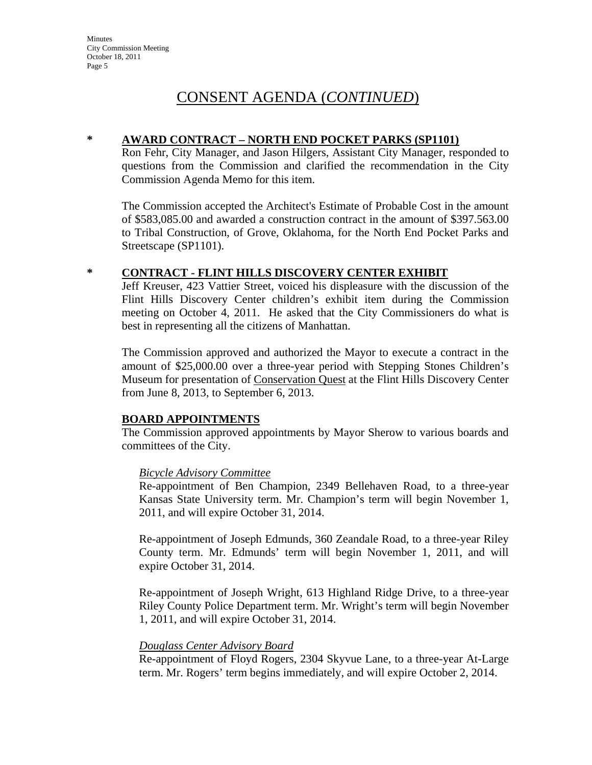#### **\* AWARD CONTRACT – NORTH END POCKET PARKS (SP1101)**

Ron Fehr, City Manager, and Jason Hilgers, Assistant City Manager, responded to questions from the Commission and clarified the recommendation in the City Commission Agenda Memo for this item.

The Commission accepted the Architect's Estimate of Probable Cost in the amount of \$583,085.00 and awarded a construction contract in the amount of \$397.563.00 to Tribal Construction, of Grove, Oklahoma, for the North End Pocket Parks and Streetscape (SP1101).

#### **\* CONTRACT - FLINT HILLS DISCOVERY CENTER EXHIBIT**

Jeff Kreuser, 423 Vattier Street, voiced his displeasure with the discussion of the Flint Hills Discovery Center children's exhibit item during the Commission meeting on October 4, 2011. He asked that the City Commissioners do what is best in representing all the citizens of Manhattan.

The Commission approved and authorized the Mayor to execute a contract in the amount of \$25,000.00 over a three-year period with Stepping Stones Children's Museum for presentation of Conservation Quest at the Flint Hills Discovery Center from June 8, 2013, to September 6, 2013.

#### **BOARD APPOINTMENTS**

The Commission approved appointments by Mayor Sherow to various boards and committees of the City.

#### *Bicycle Advisory Committee*

Re-appointment of Ben Champion, 2349 Bellehaven Road, to a three-year Kansas State University term. Mr. Champion's term will begin November 1, 2011, and will expire October 31, 2014.

Re-appointment of Joseph Edmunds, 360 Zeandale Road, to a three-year Riley County term. Mr. Edmunds' term will begin November 1, 2011, and will expire October 31, 2014.

Re-appointment of Joseph Wright, 613 Highland Ridge Drive, to a three-year Riley County Police Department term. Mr. Wright's term will begin November 1, 2011, and will expire October 31, 2014.

#### *Douglass Center Advisory Board*

Re-appointment of Floyd Rogers, 2304 Skyvue Lane, to a three-year At-Large term. Mr. Rogers' term begins immediately, and will expire October 2, 2014.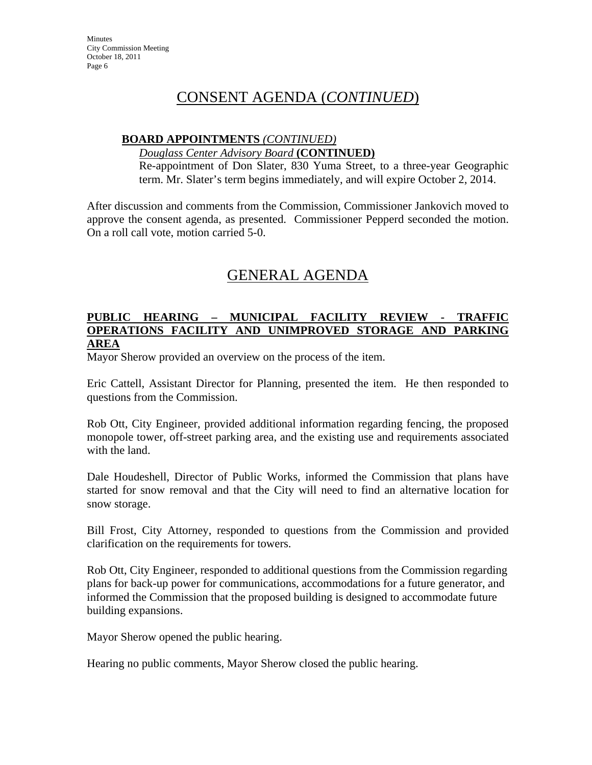#### **BOARD APPOINTMENTS** *(CONTINUED)*

#### *Douglass Center Advisory Board* **(CONTINUED)**

Re-appointment of Don Slater, 830 Yuma Street, to a three-year Geographic term. Mr. Slater's term begins immediately, and will expire October 2, 2014.

After discussion and comments from the Commission, Commissioner Jankovich moved to approve the consent agenda, as presented. Commissioner Pepperd seconded the motion. On a roll call vote, motion carried 5-0.

## GENERAL AGENDA

#### **PUBLIC HEARING – MUNICIPAL FACILITY REVIEW - TRAFFIC OPERATIONS FACILITY AND UNIMPROVED STORAGE AND PARKING AREA**

Mayor Sherow provided an overview on the process of the item.

Eric Cattell, Assistant Director for Planning, presented the item. He then responded to questions from the Commission.

Rob Ott, City Engineer, provided additional information regarding fencing, the proposed monopole tower, off-street parking area, and the existing use and requirements associated with the land.

Dale Houdeshell, Director of Public Works, informed the Commission that plans have started for snow removal and that the City will need to find an alternative location for snow storage.

Bill Frost, City Attorney, responded to questions from the Commission and provided clarification on the requirements for towers.

Rob Ott, City Engineer, responded to additional questions from the Commission regarding plans for back-up power for communications, accommodations for a future generator, and informed the Commission that the proposed building is designed to accommodate future building expansions.

Mayor Sherow opened the public hearing.

Hearing no public comments, Mayor Sherow closed the public hearing.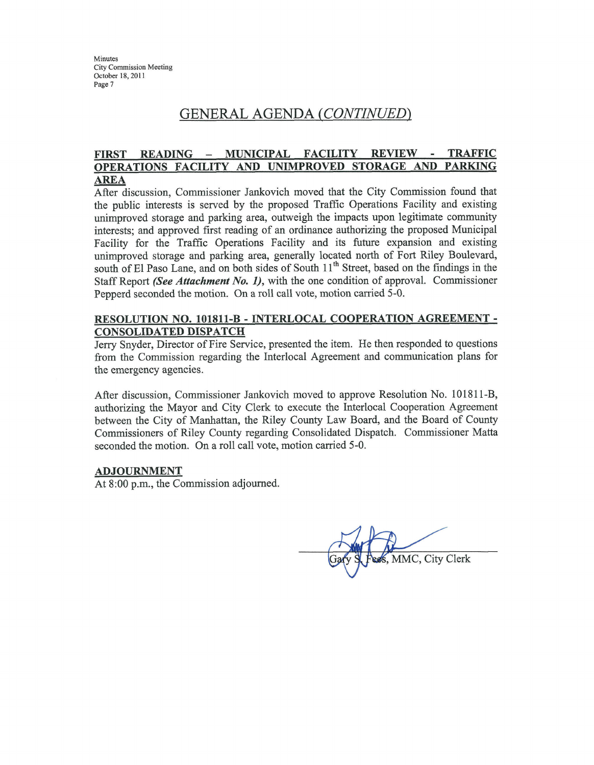## GENERAL AGENDA (CONTINUED)

#### MUNICIPAL FACILITY **REVIEW FIRST READING TRAFFIC**  $\overline{\phantom{a}}$ OPERATIONS FACILITY AND UNIMPROVED STORAGE AND **PARKING AREA**

After discussion, Commissioner Jankovich moved that the City Commission found that the public interests is served by the proposed Traffic Operations Facility and existing unimproved storage and parking area, outweigh the impacts upon legitimate community interests; and approved first reading of an ordinance authorizing the proposed Municipal Facility for the Traffic Operations Facility and its future expansion and existing unimproved storage and parking area, generally located north of Fort Riley Boulevard, south of El Paso Lane, and on both sides of South 11<sup>th</sup> Street, based on the findings in the Staff Report (See Attachment No. 1), with the one condition of approval. Commissioner Pepperd seconded the motion. On a roll call vote, motion carried 5-0.

#### RESOLUTION NO. 101811-B - INTERLOCAL COOPERATION AGREEMENT -**CONSOLIDATED DISPATCH**

Jerry Snyder, Director of Fire Service, presented the item. He then responded to questions from the Commission regarding the Interlocal Agreement and communication plans for the emergency agencies.

After discussion, Commissioner Jankovich moved to approve Resolution No. 101811-B, authorizing the Mayor and City Clerk to execute the Interlocal Cooperation Agreement between the City of Manhattan, the Riley County Law Board, and the Board of County Commissioners of Riley County regarding Consolidated Dispatch. Commissioner Matta seconded the motion. On a roll call vote, motion carried 5-0.

#### **ADJOURNMENT**

At 8:00 p.m., the Commission adjourned.

MMC, City Clerk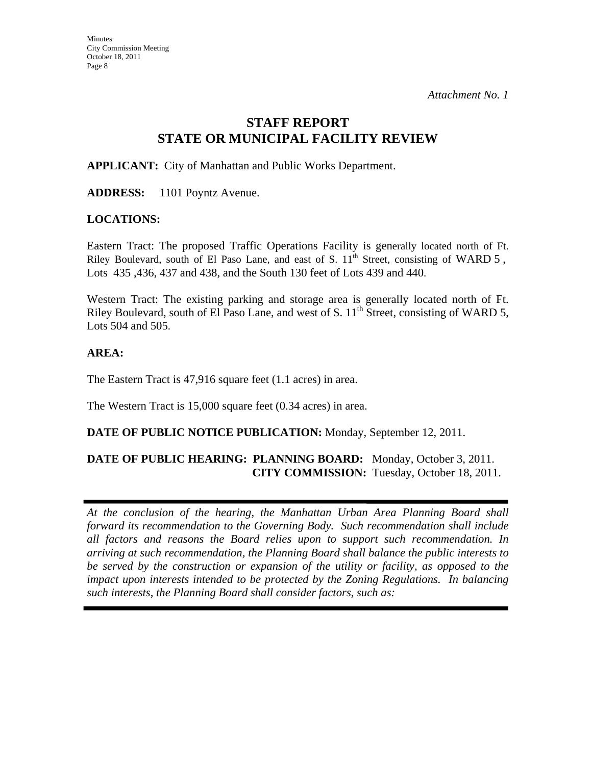## **STAFF REPORT STATE OR MUNICIPAL FACILITY REVIEW**

**APPLICANT:** City of Manhattan and Public Works Department.

**ADDRESS:** 1101 Poyntz Avenue.

#### **LOCATIONS:**

Eastern Tract: The proposed Traffic Operations Facility is generally located north of Ft. Riley Boulevard, south of El Paso Lane, and east of S.  $11<sup>th</sup>$  Street, consisting of WARD 5, Lots 435 ,436, 437 and 438, and the South 130 feet of Lots 439 and 440.

Western Tract: The existing parking and storage area is generally located north of Ft. Riley Boulevard, south of El Paso Lane, and west of S.  $11^{th}$  Street, consisting of WARD 5, Lots 504 and 505.

#### **AREA:**

The Eastern Tract is 47,916 square feet (1.1 acres) in area.

The Western Tract is 15,000 square feet (0.34 acres) in area.

#### **DATE OF PUBLIC NOTICE PUBLICATION:** Monday, September 12, 2011.

#### **DATE OF PUBLIC HEARING: PLANNING BOARD:** Monday, October 3, 2011. **CITY COMMISSION:** Tuesday, October 18, 2011.

*At the conclusion of the hearing, the Manhattan Urban Area Planning Board shall forward its recommendation to the Governing Body. Such recommendation shall include all factors and reasons the Board relies upon to support such recommendation. In arriving at such recommendation, the Planning Board shall balance the public interests to be served by the construction or expansion of the utility or facility, as opposed to the impact upon interests intended to be protected by the Zoning Regulations. In balancing such interests, the Planning Board shall consider factors, such as:*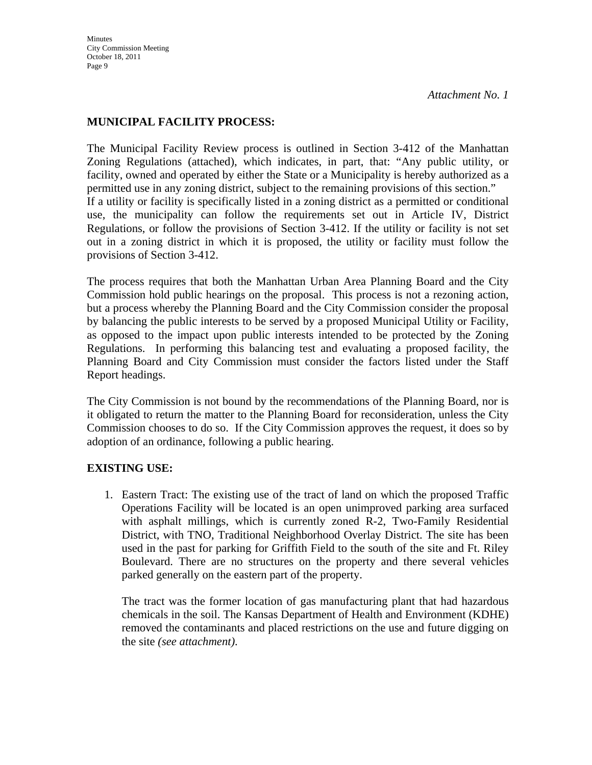#### **MUNICIPAL FACILITY PROCESS:**

The Municipal Facility Review process is outlined in Section 3-412 of the Manhattan Zoning Regulations (attached), which indicates, in part, that: "Any public utility, or facility, owned and operated by either the State or a Municipality is hereby authorized as a permitted use in any zoning district, subject to the remaining provisions of this section." If a utility or facility is specifically listed in a zoning district as a permitted or conditional use, the municipality can follow the requirements set out in Article IV, District Regulations, or follow the provisions of Section 3-412. If the utility or facility is not set out in a zoning district in which it is proposed, the utility or facility must follow the provisions of Section 3-412.

The process requires that both the Manhattan Urban Area Planning Board and the City Commission hold public hearings on the proposal. This process is not a rezoning action, but a process whereby the Planning Board and the City Commission consider the proposal by balancing the public interests to be served by a proposed Municipal Utility or Facility, as opposed to the impact upon public interests intended to be protected by the Zoning Regulations. In performing this balancing test and evaluating a proposed facility, the Planning Board and City Commission must consider the factors listed under the Staff Report headings.

The City Commission is not bound by the recommendations of the Planning Board, nor is it obligated to return the matter to the Planning Board for reconsideration, unless the City Commission chooses to do so. If the City Commission approves the request, it does so by adoption of an ordinance, following a public hearing.

#### **EXISTING USE:**

1. Eastern Tract: The existing use of the tract of land on which the proposed Traffic Operations Facility will be located is an open unimproved parking area surfaced with asphalt millings, which is currently zoned R-2, Two-Family Residential District, with TNO, Traditional Neighborhood Overlay District. The site has been used in the past for parking for Griffith Field to the south of the site and Ft. Riley Boulevard. There are no structures on the property and there several vehicles parked generally on the eastern part of the property.

The tract was the former location of gas manufacturing plant that had hazardous chemicals in the soil. The Kansas Department of Health and Environment (KDHE) removed the contaminants and placed restrictions on the use and future digging on the site *(see attachment)*.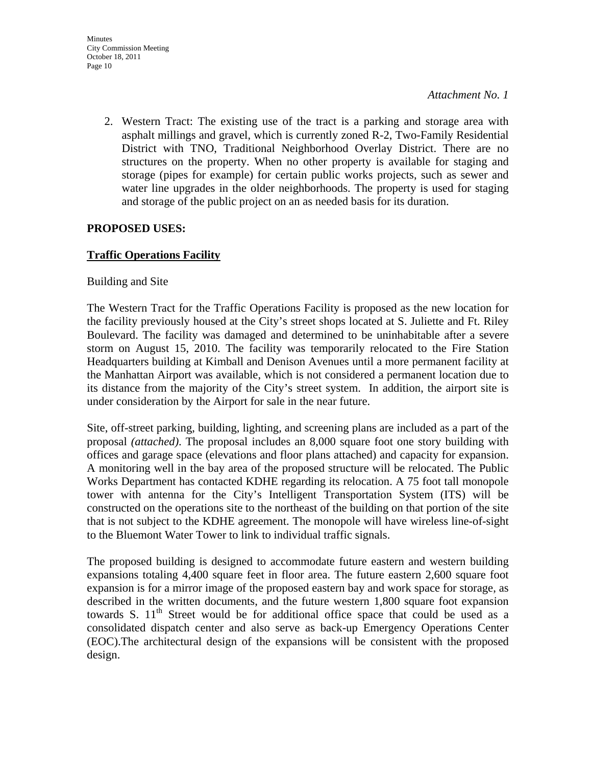2. Western Tract: The existing use of the tract is a parking and storage area with asphalt millings and gravel, which is currently zoned R-2, Two-Family Residential District with TNO, Traditional Neighborhood Overlay District. There are no structures on the property. When no other property is available for staging and storage (pipes for example) for certain public works projects, such as sewer and water line upgrades in the older neighborhoods. The property is used for staging and storage of the public project on an as needed basis for its duration.

### **PROPOSED USES:**

### **Traffic Operations Facility**

#### Building and Site

The Western Tract for the Traffic Operations Facility is proposed as the new location for the facility previously housed at the City's street shops located at S. Juliette and Ft. Riley Boulevard. The facility was damaged and determined to be uninhabitable after a severe storm on August 15, 2010. The facility was temporarily relocated to the Fire Station Headquarters building at Kimball and Denison Avenues until a more permanent facility at the Manhattan Airport was available, which is not considered a permanent location due to its distance from the majority of the City's street system. In addition, the airport site is under consideration by the Airport for sale in the near future.

Site, off-street parking, building, lighting, and screening plans are included as a part of the proposal *(attached)*. The proposal includes an 8,000 square foot one story building with offices and garage space (elevations and floor plans attached) and capacity for expansion. A monitoring well in the bay area of the proposed structure will be relocated. The Public Works Department has contacted KDHE regarding its relocation. A 75 foot tall monopole tower with antenna for the City's Intelligent Transportation System (ITS) will be constructed on the operations site to the northeast of the building on that portion of the site that is not subject to the KDHE agreement. The monopole will have wireless line-of-sight to the Bluemont Water Tower to link to individual traffic signals.

The proposed building is designed to accommodate future eastern and western building expansions totaling 4,400 square feet in floor area. The future eastern 2,600 square foot expansion is for a mirror image of the proposed eastern bay and work space for storage, as described in the written documents, and the future western 1,800 square foot expansion towards S.  $11<sup>th</sup>$  Street would be for additional office space that could be used as a consolidated dispatch center and also serve as back-up Emergency Operations Center (EOC).The architectural design of the expansions will be consistent with the proposed design.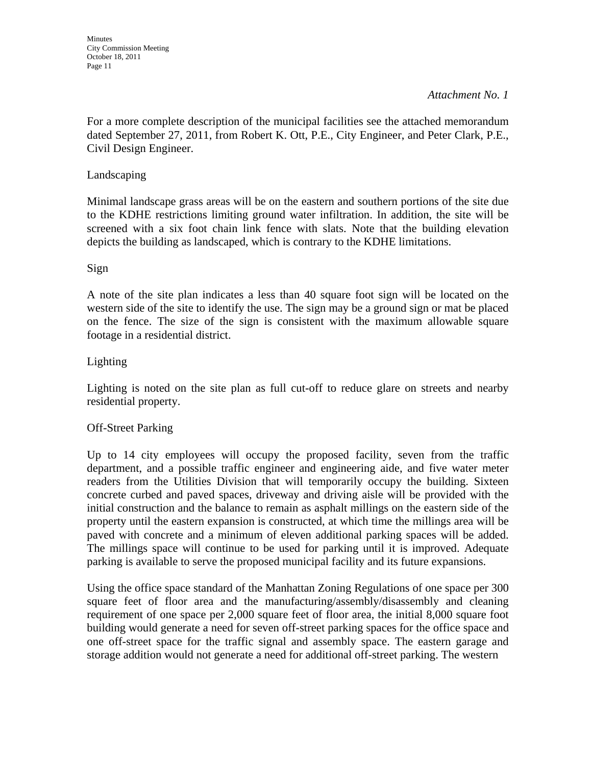#### *Attachment No. 1*

For a more complete description of the municipal facilities see the attached memorandum dated September 27, 2011, from Robert K. Ott, P.E., City Engineer, and Peter Clark, P.E., Civil Design Engineer.

#### Landscaping

Minimal landscape grass areas will be on the eastern and southern portions of the site due to the KDHE restrictions limiting ground water infiltration. In addition, the site will be screened with a six foot chain link fence with slats. Note that the building elevation depicts the building as landscaped, which is contrary to the KDHE limitations.

#### Sign

A note of the site plan indicates a less than 40 square foot sign will be located on the western side of the site to identify the use. The sign may be a ground sign or mat be placed on the fence. The size of the sign is consistent with the maximum allowable square footage in a residential district.

#### Lighting

Lighting is noted on the site plan as full cut-off to reduce glare on streets and nearby residential property.

#### Off-Street Parking

Up to 14 city employees will occupy the proposed facility, seven from the traffic department, and a possible traffic engineer and engineering aide, and five water meter readers from the Utilities Division that will temporarily occupy the building. Sixteen concrete curbed and paved spaces, driveway and driving aisle will be provided with the initial construction and the balance to remain as asphalt millings on the eastern side of the property until the eastern expansion is constructed, at which time the millings area will be paved with concrete and a minimum of eleven additional parking spaces will be added. The millings space will continue to be used for parking until it is improved. Adequate parking is available to serve the proposed municipal facility and its future expansions.

Using the office space standard of the Manhattan Zoning Regulations of one space per 300 square feet of floor area and the manufacturing/assembly/disassembly and cleaning requirement of one space per 2,000 square feet of floor area, the initial 8,000 square foot building would generate a need for seven off-street parking spaces for the office space and one off-street space for the traffic signal and assembly space. The eastern garage and storage addition would not generate a need for additional off-street parking. The western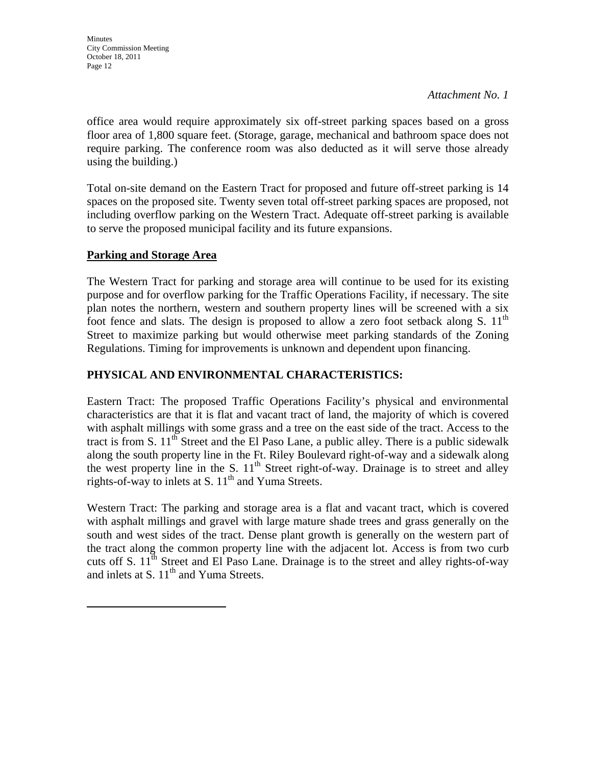*Attachment No. 1*

office area would require approximately six off-street parking spaces based on a gross floor area of 1,800 square feet. (Storage, garage, mechanical and bathroom space does not require parking. The conference room was also deducted as it will serve those already using the building.)

Total on-site demand on the Eastern Tract for proposed and future off-street parking is 14 spaces on the proposed site. Twenty seven total off-street parking spaces are proposed, not including overflow parking on the Western Tract. Adequate off-street parking is available to serve the proposed municipal facility and its future expansions.

#### **Parking and Storage Area**

The Western Tract for parking and storage area will continue to be used for its existing purpose and for overflow parking for the Traffic Operations Facility, if necessary. The site plan notes the northern, western and southern property lines will be screened with a six foot fence and slats. The design is proposed to allow a zero foot setback along S.  $11<sup>th</sup>$ Street to maximize parking but would otherwise meet parking standards of the Zoning Regulations. Timing for improvements is unknown and dependent upon financing.

#### **PHYSICAL AND ENVIRONMENTAL CHARACTERISTICS:**

Eastern Tract: The proposed Traffic Operations Facility's physical and environmental characteristics are that it is flat and vacant tract of land, the majority of which is covered with asphalt millings with some grass and a tree on the east side of the tract. Access to the tract is from S.  $11<sup>th</sup>$  Street and the El Paso Lane, a public alley. There is a public sidewalk along the south property line in the Ft. Riley Boulevard right-of-way and a sidewalk along the west property line in the S.  $11<sup>th</sup>$  Street right-of-way. Drainage is to street and alley rights-of-way to inlets at S.  $11<sup>th</sup>$  and Yuma Streets.

Western Tract: The parking and storage area is a flat and vacant tract, which is covered with asphalt millings and gravel with large mature shade trees and grass generally on the south and west sides of the tract. Dense plant growth is generally on the western part of the tract along the common property line with the adjacent lot. Access is from two curb cuts off S.  $11<sup>th</sup>$  Street and El Paso Lane. Drainage is to the street and alley rights-of-way and inlets at S.  $11<sup>th</sup>$  and Yuma Streets.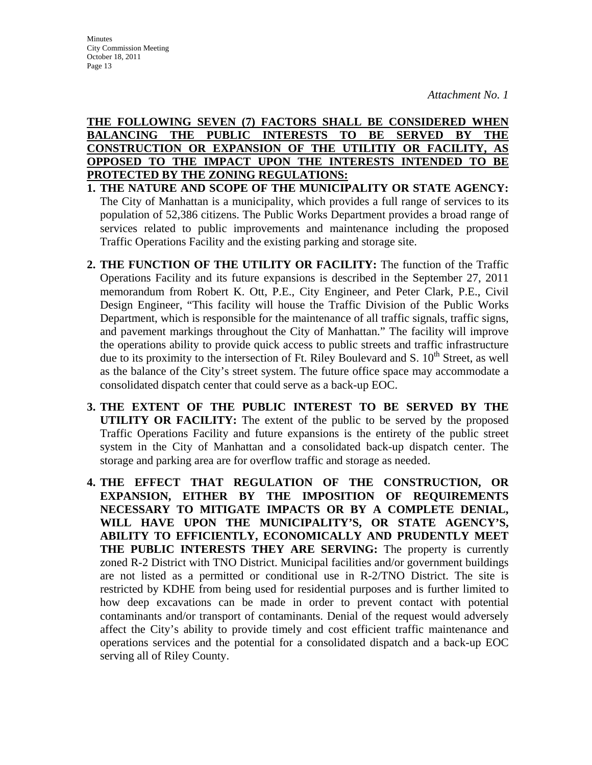**THE FOLLOWING SEVEN (7) FACTORS SHALL BE CONSIDERED WHEN BALANCING THE PUBLIC INTERESTS TO BE SERVED BY THE CONSTRUCTION OR EXPANSION OF THE UTILITIY OR FACILITY, AS OPPOSED TO THE IMPACT UPON THE INTERESTS INTENDED TO BE PROTECTED BY THE ZONING REGULATIONS:**

- **1. THE NATURE AND SCOPE OF THE MUNICIPALITY OR STATE AGENCY:**  The City of Manhattan is a municipality, which provides a full range of services to its population of 52,386 citizens. The Public Works Department provides a broad range of services related to public improvements and maintenance including the proposed Traffic Operations Facility and the existing parking and storage site.
- **2. THE FUNCTION OF THE UTILITY OR FACILITY:** The function of the Traffic Operations Facility and its future expansions is described in the September 27, 2011 memorandum from Robert K. Ott, P.E., City Engineer, and Peter Clark, P.E., Civil Design Engineer, "This facility will house the Traffic Division of the Public Works Department, which is responsible for the maintenance of all traffic signals, traffic signs, and pavement markings throughout the City of Manhattan." The facility will improve the operations ability to provide quick access to public streets and traffic infrastructure due to its proximity to the intersection of Ft. Riley Boulevard and S.  $10<sup>th</sup>$  Street, as well as the balance of the City's street system. The future office space may accommodate a consolidated dispatch center that could serve as a back-up EOC.
- **3. THE EXTENT OF THE PUBLIC INTEREST TO BE SERVED BY THE UTILITY OR FACILITY:** The extent of the public to be served by the proposed Traffic Operations Facility and future expansions is the entirety of the public street system in the City of Manhattan and a consolidated back-up dispatch center. The storage and parking area are for overflow traffic and storage as needed.
- **4. THE EFFECT THAT REGULATION OF THE CONSTRUCTION, OR EXPANSION, EITHER BY THE IMPOSITION OF REQUIREMENTS NECESSARY TO MITIGATE IMPACTS OR BY A COMPLETE DENIAL, WILL HAVE UPON THE MUNICIPALITY'S, OR STATE AGENCY'S, ABILITY TO EFFICIENTLY, ECONOMICALLY AND PRUDENTLY MEET THE PUBLIC INTERESTS THEY ARE SERVING:** The property is currently zoned R-2 District with TNO District. Municipal facilities and/or government buildings are not listed as a permitted or conditional use in R-2/TNO District. The site is restricted by KDHE from being used for residential purposes and is further limited to how deep excavations can be made in order to prevent contact with potential contaminants and/or transport of contaminants. Denial of the request would adversely affect the City's ability to provide timely and cost efficient traffic maintenance and operations services and the potential for a consolidated dispatch and a back-up EOC serving all of Riley County.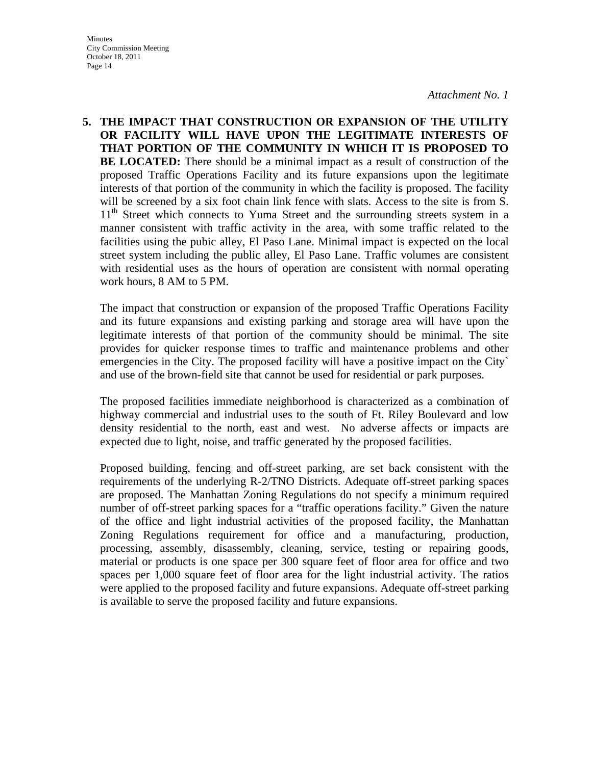*Attachment No. 1*

**5. THE IMPACT THAT CONSTRUCTION OR EXPANSION OF THE UTILITY OR FACILITY WILL HAVE UPON THE LEGITIMATE INTERESTS OF THAT PORTION OF THE COMMUNITY IN WHICH IT IS PROPOSED TO BE LOCATED:** There should be a minimal impact as a result of construction of the proposed Traffic Operations Facility and its future expansions upon the legitimate interests of that portion of the community in which the facility is proposed. The facility will be screened by a six foot chain link fence with slats. Access to the site is from S. 11<sup>th</sup> Street which connects to Yuma Street and the surrounding streets system in a manner consistent with traffic activity in the area, with some traffic related to the facilities using the pubic alley, El Paso Lane. Minimal impact is expected on the local street system including the public alley, El Paso Lane. Traffic volumes are consistent with residential uses as the hours of operation are consistent with normal operating work hours, 8 AM to 5 PM.

 The impact that construction or expansion of the proposed Traffic Operations Facility and its future expansions and existing parking and storage area will have upon the legitimate interests of that portion of the community should be minimal. The site provides for quicker response times to traffic and maintenance problems and other emergencies in the City. The proposed facility will have a positive impact on the City` and use of the brown-field site that cannot be used for residential or park purposes.

 The proposed facilities immediate neighborhood is characterized as a combination of highway commercial and industrial uses to the south of Ft. Riley Boulevard and low density residential to the north, east and west. No adverse affects or impacts are expected due to light, noise, and traffic generated by the proposed facilities.

 Proposed building, fencing and off-street parking, are set back consistent with the requirements of the underlying R-2/TNO Districts. Adequate off-street parking spaces are proposed. The Manhattan Zoning Regulations do not specify a minimum required number of off-street parking spaces for a "traffic operations facility." Given the nature of the office and light industrial activities of the proposed facility, the Manhattan Zoning Regulations requirement for office and a manufacturing, production, processing, assembly, disassembly, cleaning, service, testing or repairing goods, material or products is one space per 300 square feet of floor area for office and two spaces per 1,000 square feet of floor area for the light industrial activity. The ratios were applied to the proposed facility and future expansions. Adequate off-street parking is available to serve the proposed facility and future expansions.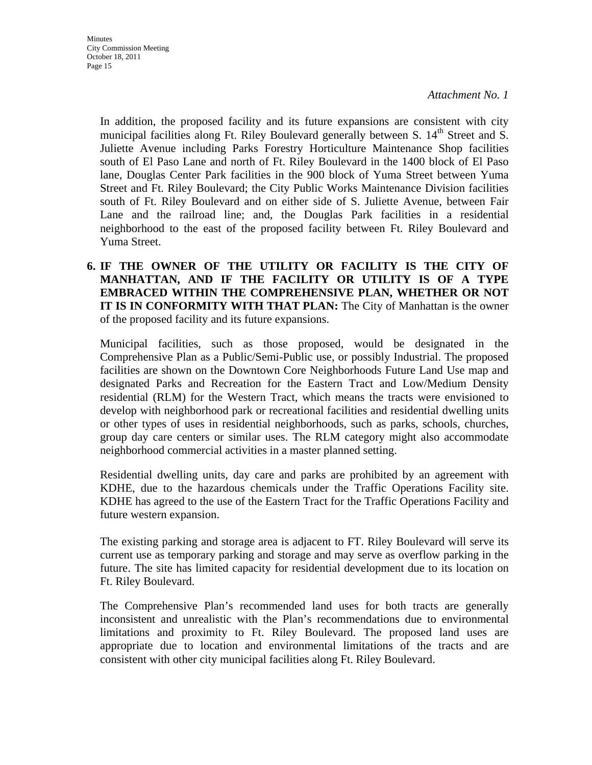In addition, the proposed facility and its future expansions are consistent with city municipal facilities along Ft. Riley Boulevard generally between S.  $14<sup>th</sup>$  Street and S. Juliette Avenue including Parks Forestry Horticulture Maintenance Shop facilities south of El Paso Lane and north of Ft. Riley Boulevard in the 1400 block of El Paso lane, Douglas Center Park facilities in the 900 block of Yuma Street between Yuma Street and Ft. Riley Boulevard; the City Public Works Maintenance Division facilities south of Ft. Riley Boulevard and on either side of S. Juliette Avenue, between Fair Lane and the railroad line; and, the Douglas Park facilities in a residential neighborhood to the east of the proposed facility between Ft. Riley Boulevard and Yuma Street.

**6. IF THE OWNER OF THE UTILITY OR FACILITY IS THE CITY OF MANHATTAN, AND IF THE FACILITY OR UTILITY IS OF A TYPE EMBRACED WITHIN THE COMPREHENSIVE PLAN, WHETHER OR NOT IT IS IN CONFORMITY WITH THAT PLAN:** The City of Manhattan is the owner of the proposed facility and its future expansions.

 Municipal facilities, such as those proposed, would be designated in the Comprehensive Plan as a Public/Semi-Public use, or possibly Industrial. The proposed facilities are shown on the Downtown Core Neighborhoods Future Land Use map and designated Parks and Recreation for the Eastern Tract and Low/Medium Density residential (RLM) for the Western Tract, which means the tracts were envisioned to develop with neighborhood park or recreational facilities and residential dwelling units or other types of uses in residential neighborhoods, such as parks, schools, churches, group day care centers or similar uses. The RLM category might also accommodate neighborhood commercial activities in a master planned setting.

 Residential dwelling units, day care and parks are prohibited by an agreement with KDHE, due to the hazardous chemicals under the Traffic Operations Facility site. KDHE has agreed to the use of the Eastern Tract for the Traffic Operations Facility and future western expansion.

 The existing parking and storage area is adjacent to FT. Riley Boulevard will serve its current use as temporary parking and storage and may serve as overflow parking in the future. The site has limited capacity for residential development due to its location on Ft. Riley Boulevard.

 The Comprehensive Plan's recommended land uses for both tracts are generally inconsistent and unrealistic with the Plan's recommendations due to environmental limitations and proximity to Ft. Riley Boulevard. The proposed land uses are appropriate due to location and environmental limitations of the tracts and are consistent with other city municipal facilities along Ft. Riley Boulevard.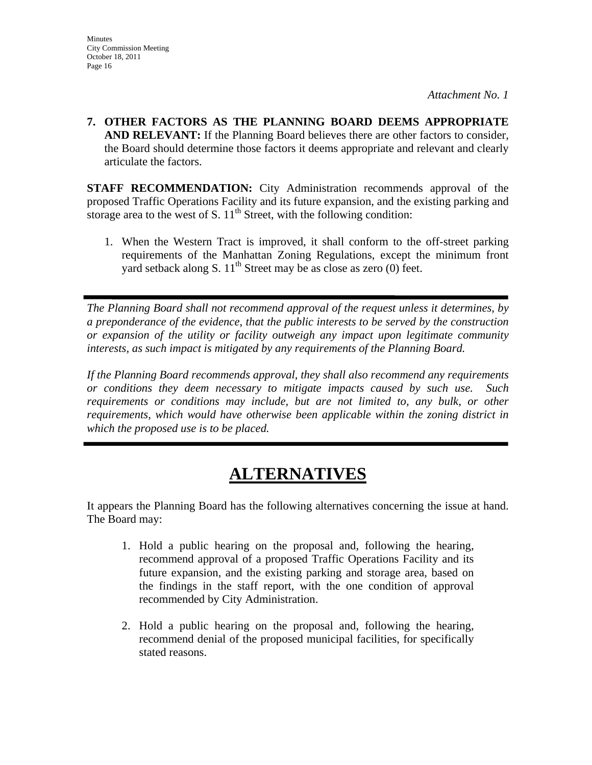**7. OTHER FACTORS AS THE PLANNING BOARD DEEMS APPROPRIATE AND RELEVANT:** If the Planning Board believes there are other factors to consider, the Board should determine those factors it deems appropriate and relevant and clearly articulate the factors.

**STAFF RECOMMENDATION:** City Administration recommends approval of the proposed Traffic Operations Facility and its future expansion, and the existing parking and storage area to the west of S.  $11<sup>th</sup>$  Street, with the following condition:

1. When the Western Tract is improved, it shall conform to the off-street parking requirements of the Manhattan Zoning Regulations, except the minimum front yard setback along S.  $11<sup>th</sup>$  Street may be as close as zero (0) feet.

*The Planning Board shall not recommend approval of the request unless it determines, by a preponderance of the evidence, that the public interests to be served by the construction or expansion of the utility or facility outweigh any impact upon legitimate community interests, as such impact is mitigated by any requirements of the Planning Board.* 

*If the Planning Board recommends approval, they shall also recommend any requirements or conditions they deem necessary to mitigate impacts caused by such use. Such requirements or conditions may include, but are not limited to, any bulk, or other requirements, which would have otherwise been applicable within the zoning district in which the proposed use is to be placed.* 

# **ALTERNATIVES**

It appears the Planning Board has the following alternatives concerning the issue at hand. The Board may:

- 1. Hold a public hearing on the proposal and, following the hearing, recommend approval of a proposed Traffic Operations Facility and its future expansion, and the existing parking and storage area, based on the findings in the staff report, with the one condition of approval recommended by City Administration.
- 2. Hold a public hearing on the proposal and, following the hearing, recommend denial of the proposed municipal facilities, for specifically stated reasons.